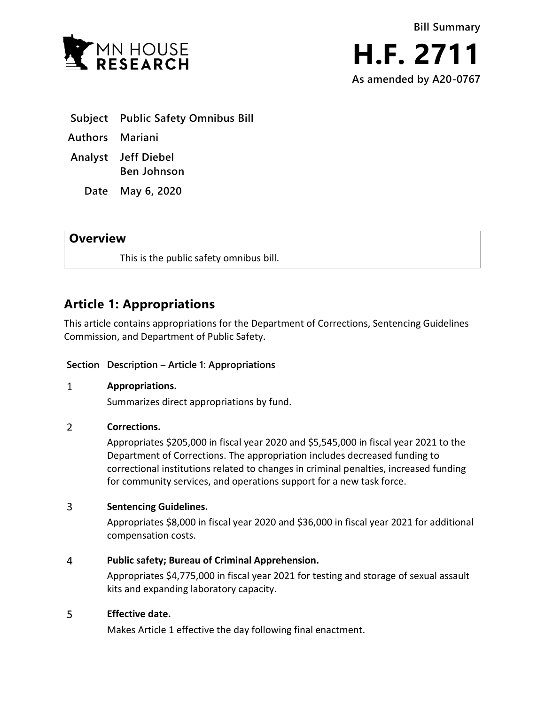



**Subject Public Safety Omnibus Bill**

**Authors Mariani**

**Analyst Jeff Diebel Ben Johnson**

**Date May 6, 2020**

## **Overview**

This is the public safety omnibus bill.

# **Article 1: Appropriations**

This article contains appropriations for the Department of Corrections, Sentencing Guidelines Commission, and Department of Public Safety.

## **Section Description – Article 1: Appropriations**

#### $\mathbf{1}$ **Appropriations.**

Summarizes direct appropriations by fund.

#### $\overline{2}$ **Corrections.**

Appropriates \$205,000 in fiscal year 2020 and \$5,545,000 in fiscal year 2021 to the Department of Corrections. The appropriation includes decreased funding to correctional institutions related to changes in criminal penalties, increased funding for community services, and operations support for a new task force.

#### $\overline{3}$ **Sentencing Guidelines.**

Appropriates \$8,000 in fiscal year 2020 and \$36,000 in fiscal year 2021 for additional compensation costs.

#### $\overline{4}$ **Public safety; Bureau of Criminal Apprehension.**

Appropriates \$4,775,000 in fiscal year 2021 for testing and storage of sexual assault kits and expanding laboratory capacity.

#### 5 **Effective date.**

Makes Article 1 effective the day following final enactment.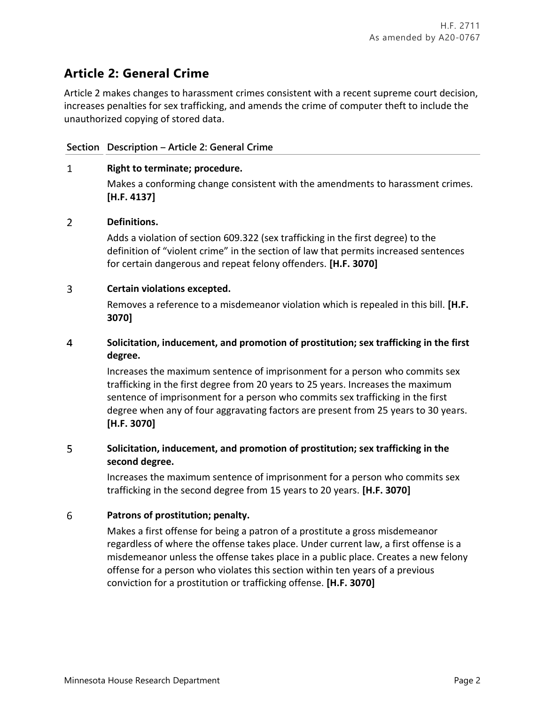# **Article 2: General Crime**

Article 2 makes changes to harassment crimes consistent with a recent supreme court decision, increases penalties for sex trafficking, and amends the crime of computer theft to include the unauthorized copying of stored data.

### **Section Description – Article 2: General Crime**

#### $\mathbf{1}$ **Right to terminate; procedure.**

Makes a conforming change consistent with the amendments to harassment crimes. **[H.F. 4137]**

#### $\overline{2}$ **Definitions.**

Adds a violation of section 609.322 (sex trafficking in the first degree) to the definition of "violent crime" in the section of law that permits increased sentences for certain dangerous and repeat felony offenders. **[H.F. 3070]**

#### $\overline{3}$ **Certain violations excepted.**

Removes a reference to a misdemeanor violation which is repealed in this bill. **[H.F. 3070]**

### $\overline{4}$ **Solicitation, inducement, and promotion of prostitution; sex trafficking in the first degree.**

Increases the maximum sentence of imprisonment for a person who commits sex trafficking in the first degree from 20 years to 25 years. Increases the maximum sentence of imprisonment for a person who commits sex trafficking in the first degree when any of four aggravating factors are present from 25 years to 30 years. **[H.F. 3070]**

### 5 **Solicitation, inducement, and promotion of prostitution; sex trafficking in the second degree.**

Increases the maximum sentence of imprisonment for a person who commits sex trafficking in the second degree from 15 years to 20 years. **[H.F. 3070]**

#### 6 **Patrons of prostitution; penalty.**

Makes a first offense for being a patron of a prostitute a gross misdemeanor regardless of where the offense takes place. Under current law, a first offense is a misdemeanor unless the offense takes place in a public place. Creates a new felony offense for a person who violates this section within ten years of a previous conviction for a prostitution or trafficking offense. **[H.F. 3070]**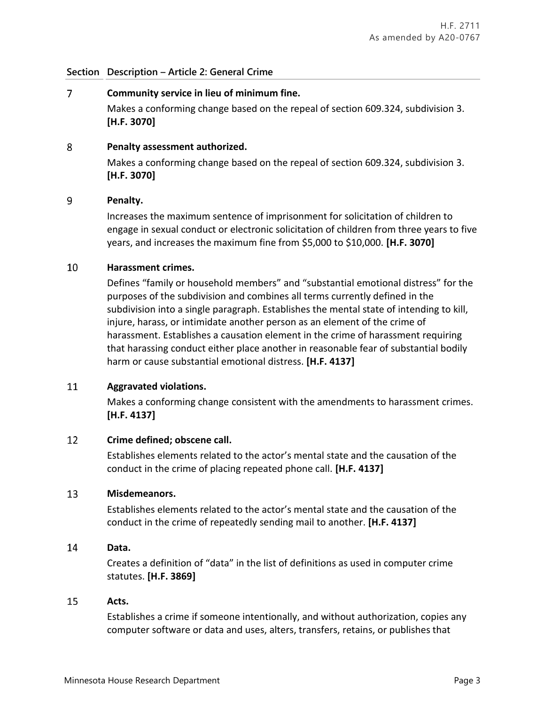### **Section Description – Article 2: General Crime**

 $\overline{7}$ **Community service in lieu of minimum fine.** Makes a conforming change based on the repeal of section 609.324, subdivision 3. **[H.F. 3070]**

#### 8 **Penalty assessment authorized.**

Makes a conforming change based on the repeal of section 609.324, subdivision 3. **[H.F. 3070]**

#### 9 **Penalty.**

Increases the maximum sentence of imprisonment for solicitation of children to engage in sexual conduct or electronic solicitation of children from three years to five years, and increases the maximum fine from \$5,000 to \$10,000. **[H.F. 3070]**

#### 10 **Harassment crimes.**

Defines "family or household members" and "substantial emotional distress" for the purposes of the subdivision and combines all terms currently defined in the subdivision into a single paragraph. Establishes the mental state of intending to kill, injure, harass, or intimidate another person as an element of the crime of harassment. Establishes a causation element in the crime of harassment requiring that harassing conduct either place another in reasonable fear of substantial bodily harm or cause substantial emotional distress. **[H.F. 4137]**

#### 11 **Aggravated violations.**

Makes a conforming change consistent with the amendments to harassment crimes. **[H.F. 4137]**

#### 12 **Crime defined; obscene call.**

Establishes elements related to the actor's mental state and the causation of the conduct in the crime of placing repeated phone call. **[H.F. 4137]**

#### 13 **Misdemeanors.**

Establishes elements related to the actor's mental state and the causation of the conduct in the crime of repeatedly sending mail to another. **[H.F. 4137]**

#### 14 **Data.**

Creates a definition of "data" in the list of definitions as used in computer crime statutes. **[H.F. 3869]**

#### 15 **Acts.**

Establishes a crime if someone intentionally, and without authorization, copies any computer software or data and uses, alters, transfers, retains, or publishes that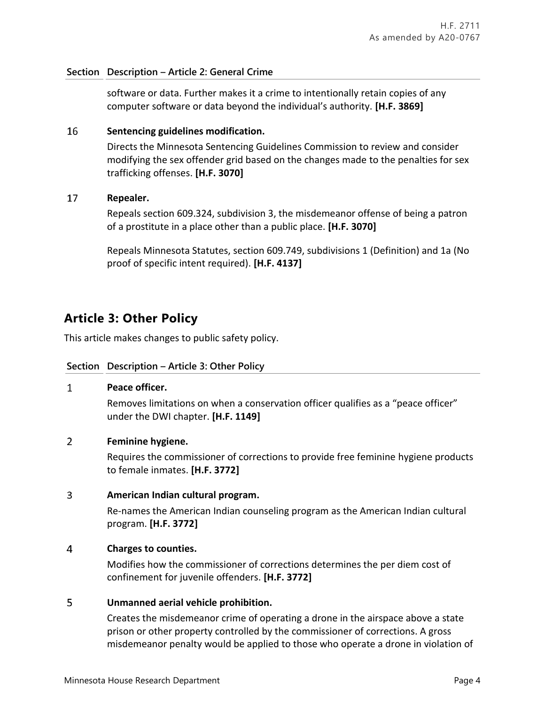### **Section Description – Article 2: General Crime**

software or data. Further makes it a crime to intentionally retain copies of any computer software or data beyond the individual's authority. **[H.F. 3869]**

#### 16 **Sentencing guidelines modification.**

Directs the Minnesota Sentencing Guidelines Commission to review and consider modifying the sex offender grid based on the changes made to the penalties for sex trafficking offenses. **[H.F. 3070]**

#### 17 **Repealer.**

Repeals section 609.324, subdivision 3, the misdemeanor offense of being a patron of a prostitute in a place other than a public place. **[H.F. 3070]**

Repeals Minnesota Statutes, section 609.749, subdivisions 1 (Definition) and 1a (No proof of specific intent required). **[H.F. 4137]**

# **Article 3: Other Policy**

This article makes changes to public safety policy.

### **Section Description – Article 3: Other Policy**

#### $\mathbf{1}$ **Peace officer.**

Removes limitations on when a conservation officer qualifies as a "peace officer" under the DWI chapter. **[H.F. 1149]**

#### $\overline{2}$ **Feminine hygiene.**

Requires the commissioner of corrections to provide free feminine hygiene products to female inmates. **[H.F. 3772]**

#### $\overline{3}$ **American Indian cultural program.**

Re-names the American Indian counseling program as the American Indian cultural program. **[H.F. 3772]**

#### $\overline{4}$ **Charges to counties.**

Modifies how the commissioner of corrections determines the per diem cost of confinement for juvenile offenders. **[H.F. 3772]**

#### 5 **Unmanned aerial vehicle prohibition.**

Creates the misdemeanor crime of operating a drone in the airspace above a state prison or other property controlled by the commissioner of corrections. A gross misdemeanor penalty would be applied to those who operate a drone in violation of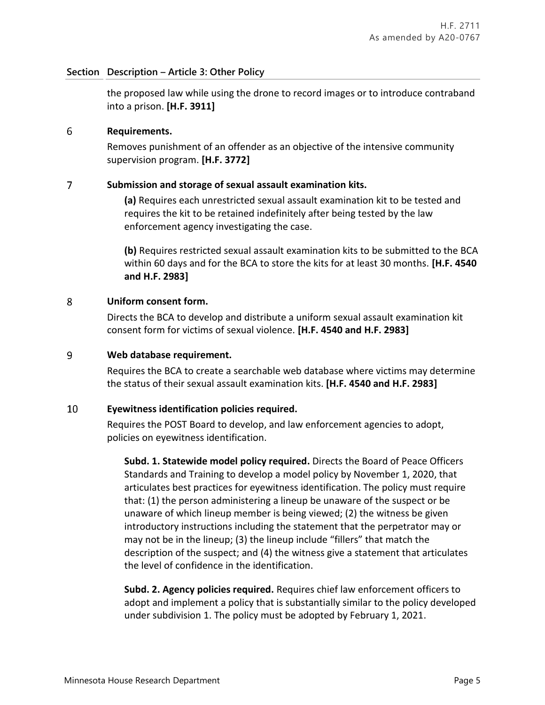### **Section Description – Article 3: Other Policy**

the proposed law while using the drone to record images or to introduce contraband into a prison. **[H.F. 3911]**

#### 6 **Requirements.**

Removes punishment of an offender as an objective of the intensive community supervision program. **[H.F. 3772]**

#### $\overline{7}$ **Submission and storage of sexual assault examination kits.**

**(a)** Requires each unrestricted sexual assault examination kit to be tested and requires the kit to be retained indefinitely after being tested by the law enforcement agency investigating the case.

**(b)** Requires restricted sexual assault examination kits to be submitted to the BCA within 60 days and for the BCA to store the kits for at least 30 months. **[H.F. 4540 and H.F. 2983]**

#### 8 **Uniform consent form.**

Directs the BCA to develop and distribute a uniform sexual assault examination kit consent form for victims of sexual violence. **[H.F. 4540 and H.F. 2983]**

#### 9 **Web database requirement.**

Requires the BCA to create a searchable web database where victims may determine the status of their sexual assault examination kits. **[H.F. 4540 and H.F. 2983]**

#### 10 **Eyewitness identification policies required.**

Requires the POST Board to develop, and law enforcement agencies to adopt, policies on eyewitness identification.

**Subd. 1. Statewide model policy required.** Directs the Board of Peace Officers Standards and Training to develop a model policy by November 1, 2020, that articulates best practices for eyewitness identification. The policy must require that: (1) the person administering a lineup be unaware of the suspect or be unaware of which lineup member is being viewed; (2) the witness be given introductory instructions including the statement that the perpetrator may or may not be in the lineup; (3) the lineup include "fillers" that match the description of the suspect; and (4) the witness give a statement that articulates the level of confidence in the identification.

**Subd. 2. Agency policies required.** Requires chief law enforcement officers to adopt and implement a policy that is substantially similar to the policy developed under subdivision 1. The policy must be adopted by February 1, 2021.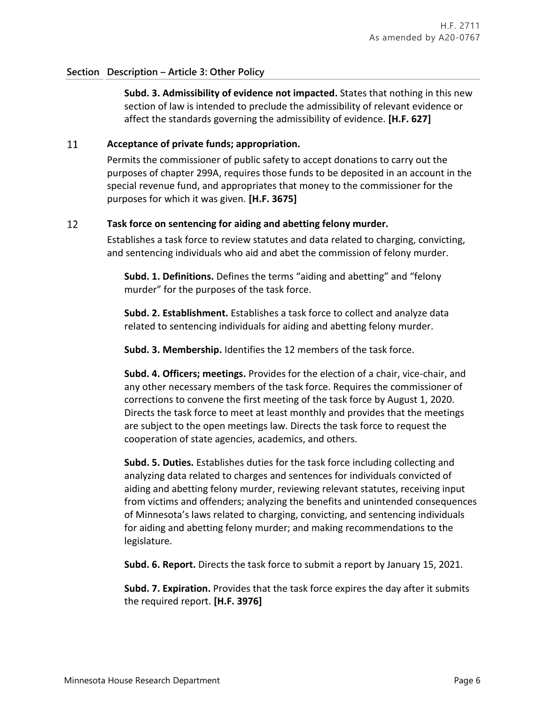### **Section Description – Article 3: Other Policy**

**Subd. 3. Admissibility of evidence not impacted.** States that nothing in this new section of law is intended to preclude the admissibility of relevant evidence or affect the standards governing the admissibility of evidence. **[H.F. 627]**

#### 11 **Acceptance of private funds; appropriation.**

Permits the commissioner of public safety to accept donations to carry out the purposes of chapter 299A, requires those funds to be deposited in an account in the special revenue fund, and appropriates that money to the commissioner for the purposes for which it was given. **[H.F. 3675]**

#### 12 **Task force on sentencing for aiding and abetting felony murder.**

Establishes a task force to review statutes and data related to charging, convicting, and sentencing individuals who aid and abet the commission of felony murder.

**Subd. 1. Definitions.** Defines the terms "aiding and abetting" and "felony murder" for the purposes of the task force.

**Subd. 2. Establishment.** Establishes a task force to collect and analyze data related to sentencing individuals for aiding and abetting felony murder.

**Subd. 3. Membership.** Identifies the 12 members of the task force.

**Subd. 4. Officers; meetings.** Provides for the election of a chair, vice-chair, and any other necessary members of the task force. Requires the commissioner of corrections to convene the first meeting of the task force by August 1, 2020. Directs the task force to meet at least monthly and provides that the meetings are subject to the open meetings law. Directs the task force to request the cooperation of state agencies, academics, and others.

**Subd. 5. Duties.** Establishes duties for the task force including collecting and analyzing data related to charges and sentences for individuals convicted of aiding and abetting felony murder, reviewing relevant statutes, receiving input from victims and offenders; analyzing the benefits and unintended consequences of Minnesota's laws related to charging, convicting, and sentencing individuals for aiding and abetting felony murder; and making recommendations to the legislature.

**Subd. 6. Report.** Directs the task force to submit a report by January 15, 2021.

**Subd. 7. Expiration.** Provides that the task force expires the day after it submits the required report. **[H.F. 3976]**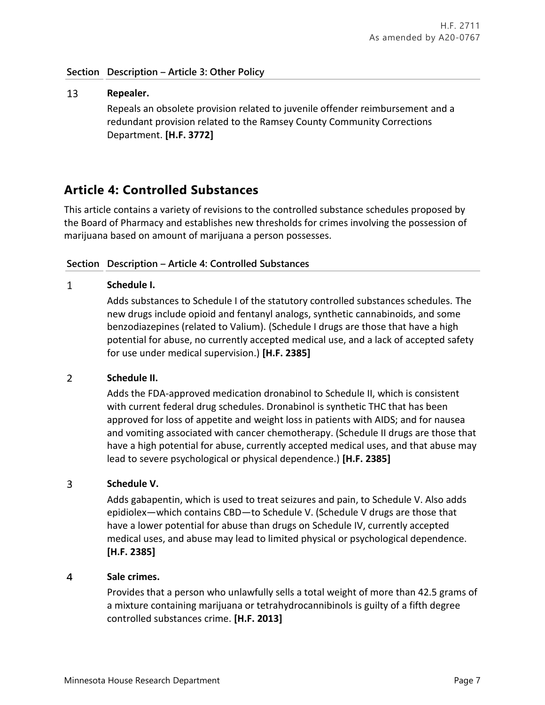### **Section Description – Article 3: Other Policy**

### 13 **Repealer.** Repeals an obsolete provision related to juvenile offender reimbursement and a redundant provision related to the Ramsey County Community Corrections Department. **[H.F. 3772]**

## **Article 4: Controlled Substances**

This article contains a variety of revisions to the controlled substance schedules proposed by the Board of Pharmacy and establishes new thresholds for crimes involving the possession of marijuana based on amount of marijuana a person possesses.

### **Section Description – Article 4: Controlled Substances**

#### $\mathbf{1}$ **Schedule I.**

Adds substances to Schedule I of the statutory controlled substances schedules. The new drugs include opioid and fentanyl analogs, synthetic cannabinoids, and some benzodiazepines (related to Valium). (Schedule I drugs are those that have a high potential for abuse, no currently accepted medical use, and a lack of accepted safety for use under medical supervision.) **[H.F. 2385]**

#### $\overline{2}$ **Schedule II.**

Adds the FDA-approved medication dronabinol to Schedule II, which is consistent with current federal drug schedules. Dronabinol is synthetic THC that has been approved for loss of appetite and weight loss in patients with AIDS; and for nausea and vomiting associated with cancer chemotherapy. (Schedule II drugs are those that have a high potential for abuse, currently accepted medical uses, and that abuse may lead to severe psychological or physical dependence.) **[H.F. 2385]**

#### $\overline{3}$ **Schedule V.**

Adds gabapentin, which is used to treat seizures and pain, to Schedule V. Also adds epidiolex—which contains CBD—to Schedule V. (Schedule V drugs are those that have a lower potential for abuse than drugs on Schedule IV, currently accepted medical uses, and abuse may lead to limited physical or psychological dependence. **[H.F. 2385]**

#### 4 **Sale crimes.**

Provides that a person who unlawfully sells a total weight of more than 42.5 grams of a mixture containing marijuana or tetrahydrocannibinols is guilty of a fifth degree controlled substances crime. **[H.F. 2013]**